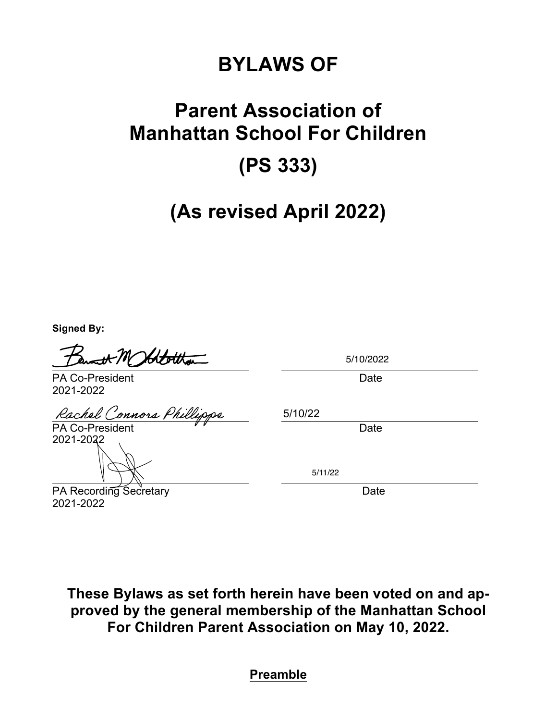# **BYLAWS OF**

# **Parent Association of Manhattan School For Children (PS 333)**

# **(As revised April 2022)**

**Signed By:**

Idtottan

5/10/2022

PA Co-President **Date** Date **Date** 2021-2022

Rachel Connors Phil

PA Co-President VV Date 2021-2022

PA Recording Secretary **Date** Date 2021-2022

5/10/22

5/11/22

**These Bylaws as set forth herein have been voted on and approved by the general membership of the Manhattan School For Children Parent Association on May 10, 2022.** 

**Preamble**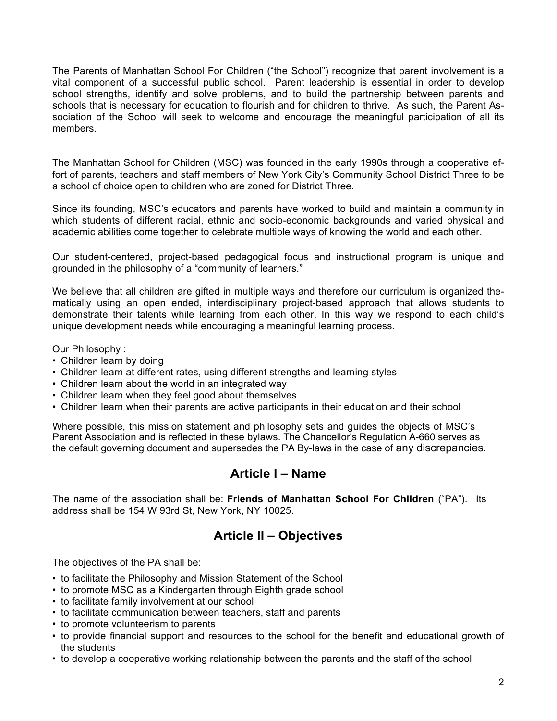The Parents of Manhattan School For Children ("the School") recognize that parent involvement is a vital component of a successful public school. Parent leadership is essential in order to develop school strengths, identify and solve problems, and to build the partnership between parents and schools that is necessary for education to flourish and for children to thrive. As such, the Parent Association of the School will seek to welcome and encourage the meaningful participation of all its members.

The Manhattan School for Children (MSC) was founded in the early 1990s through a cooperative effort of parents, teachers and staff members of New York City's Community School District Three to be a school of choice open to children who are zoned for District Three.

Since its founding, MSC's educators and parents have worked to build and maintain a community in which students of different racial, ethnic and socio-economic backgrounds and varied physical and academic abilities come together to celebrate multiple ways of knowing the world and each other.

Our student-centered, project-based pedagogical focus and instructional program is unique and grounded in the philosophy of a "community of learners."

We believe that all children are gifted in multiple ways and therefore our curriculum is organized thematically using an open ended, interdisciplinary project-based approach that allows students to demonstrate their talents while learning from each other. In this way we respond to each child's unique development needs while encouraging a meaningful learning process.

#### Our Philosophy :

- Children learn by doing
- Children learn at different rates, using different strengths and learning styles
- Children learn about the world in an integrated way
- Children learn when they feel good about themselves
- Children learn when their parents are active participants in their education and their school

Where possible, this mission statement and philosophy sets and guides the objects of MSC's Parent Association and is reflected in these bylaws. The Chancellor's Regulation A-660 serves as the default governing document and supersedes the PA By-laws in the case of any discrepancies.

#### **Article I – Name**

The name of the association shall be: **Friends of Manhattan School For Children** ("PA"). Its address shall be 154 W 93rd St, New York, NY 10025.

## **Article II – Objectives**

The objectives of the PA shall be:

- to facilitate the Philosophy and Mission Statement of the School
- to promote MSC as a Kindergarten through Eighth grade school
- to facilitate family involvement at our school
- to facilitate communication between teachers, staff and parents
- to promote volunteerism to parents
- to provide financial support and resources to the school for the benefit and educational growth of the students
- to develop a cooperative working relationship between the parents and the staff of the school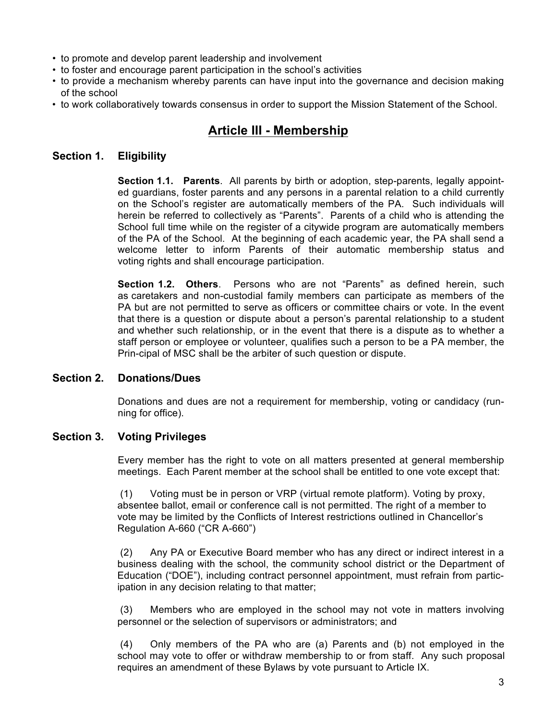- to promote and develop parent leadership and involvement
- to foster and encourage parent participation in the school's activities
- to provide a mechanism whereby parents can have input into the governance and decision making of the school
- to work collaboratively towards consensus in order to support the Mission Statement of the School.

# **Article III - Membership**

#### **Section 1. Eligibility**

**Section 1.1. Parents**. All parents by birth or adoption, step-parents, legally appointed guardians, foster parents and any persons in a parental relation to a child currently on the School's register are automatically members of the PA. Such individuals will herein be referred to collectively as "Parents". Parents of a child who is attending the School full time while on the register of a citywide program are automatically members of the PA of the School. At the beginning of each academic year, the PA shall send a welcome letter to inform Parents of their automatic membership status and voting rights and shall encourage participation.

**Section 1.2. Others**. Persons who are not "Parents" as defined herein, such as caretakers and non-custodial family members can participate as members of the PA but are not permitted to serve as officers or committee chairs or vote. In the event that there is a question or dispute about a person's parental relationship to a student and whether such relationship, or in the event that there is a dispute as to whether a staff person or employee or volunteer, qualifies such a person to be a PA member, the Prin-cipal of MSC shall be the arbiter of such question or dispute.

#### **Section 2. Donations/Dues**

Donations and dues are not a requirement for membership, voting or candidacy (running for office).

#### **Section 3. Voting Privileges**

Every member has the right to vote on all matters presented at general membership meetings. Each Parent member at the school shall be entitled to one vote except that:

(1) Voting must be in person or VRP (virtual remote platform). Voting by proxy, absentee ballot, email or conference call is not permitted. The right of a member to vote may be limited by the Conflicts of Interest restrictions outlined in Chancellor's Regulation A-660 ("CR A-660")

 Any PA or Executive Board member who has any direct or indirect interest in a business dealing with the school, the community school district or the Department of Education ("DOE"), including contract personnel appointment, must refrain from participation in any decision relating to that matter;

 Members who are employed in the school may not vote in matters involving personnel or the selection of supervisors or administrators; and

 Only members of the PA who are (a) Parents and (b) not employed in the school may vote to offer or withdraw membership to or from staff. Any such proposal requires an amendment of these Bylaws by vote pursuant to Article IX.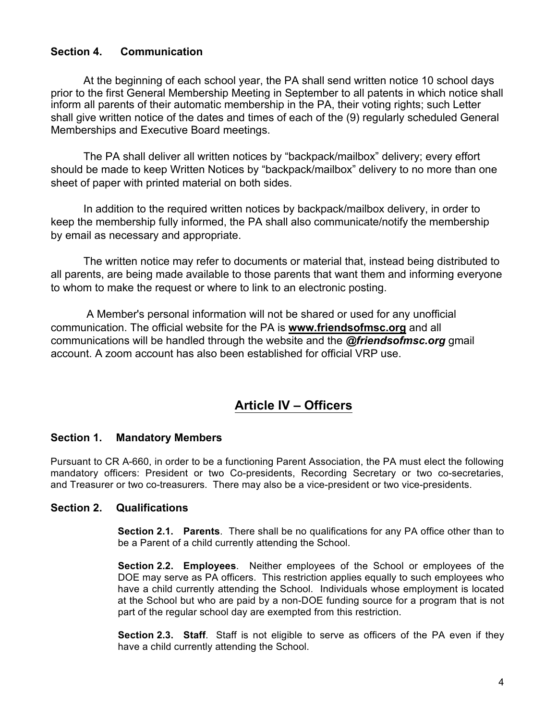#### **Section 4. Communication**

At the beginning of each school year, the PA shall send written notice 10 school days prior to the first General Membership Meeting in September to all patents in which notice shall inform all parents of their automatic membership in the PA, their voting rights; such Letter shall give written notice of the dates and times of each of the (9) regularly scheduled General Memberships and Executive Board meetings.

The PA shall deliver all written notices by "backpack/mailbox" delivery; every effort should be made to keep Written Notices by "backpack/mailbox" delivery to no more than one sheet of paper with printed material on both sides.

In addition to the required written notices by backpack/mailbox delivery, in order to keep the membership fully informed, the PA shall also communicate/notify the membership by email as necessary and appropriate.

The written notice may refer to documents or material that, instead being distributed to all parents, are being made available to those parents that want them and informing everyone to whom to make the request or where to link to an electronic posting.

A Member's personal information will not be shared or used for any unofficial communication. The official website for the PA is www.friendsofmsc.org and all communications will be handled through the website and the @friendsofmsc.org gmail account. A zoom account has also been established for official VRP use.

# **Article IV – Officers**

#### **Section 1. Mandatory Members**

Pursuant to CR A-660, in order to be a functioning Parent Association, the PA must elect the following mandatory officers: President or two Co-presidents, Recording Secretary or two co-secretaries, and Treasurer or two co-treasurers. There may also be a vice-president or two vice-presidents.

#### **Section 2. Qualifications**

**Section 2.1. Parents**. There shall be no qualifications for any PA office other than to be a Parent of a child currently attending the School.

**Section 2.2. Employees**. Neither employees of the School or employees of the DOE may serve as PA officers. This restriction applies equally to such employees who have a child currently attending the School. Individuals whose employment is located at the School but who are paid by a non-DOE funding source for a program that is not part of the regular school day are exempted from this restriction.

**Section 2.3. Staff**. Staff is not eligible to serve as officers of the PA even if they have a child currently attending the School.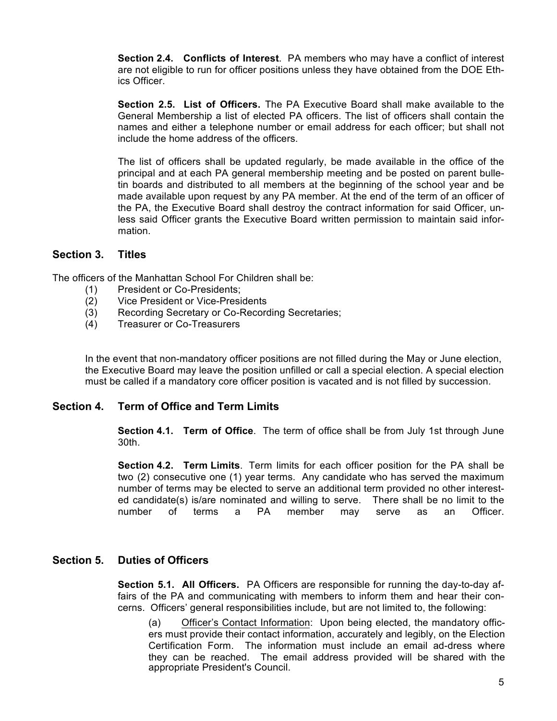**Section 2.4. Conflicts of Interest**. PA members who may have a conflict of interest are not eligible to run for officer positions unless they have obtained from the DOE Ethics Officer.

**Section 2.5. List of Officers.** The PA Executive Board shall make available to the General Membership a list of elected PA officers. The list of officers shall contain the names and either a telephone number or email address for each officer; but shall not include the home address of the officers.

The list of officers shall be updated regularly, be made available in the office of the principal and at each PA general membership meeting and be posted on parent bulletin boards and distributed to all members at the beginning of the school year and be made available upon request by any PA member. At the end of the term of an officer of the PA, the Executive Board shall destroy the contract information for said Officer, unless said Officer grants the Executive Board written permission to maintain said information.

#### **Section 3. Titles**

The officers of the Manhattan School For Children shall be:

- (1) President or Co-Presidents;
- (2) Vice President or Vice-Presidents
- (3) Recording Secretary or Co-Recording Secretaries;
- (4) Treasurer or Co-Treasurers

In the event that non-mandatory officer positions are not filled during the May or June election, the Executive Board may leave the position unfilled or call a special election. A special election must be called if a mandatory core officer position is vacated and is not filled by succession.

#### **Section 4. Term of Office and Term Limits**

**Section 4.1. Term of Office**. The term of office shall be from July 1st through June 30th.

**Section 4.2. Term Limits**. Term limits for each officer position for the PA shall be two (2) consecutive one (1) year terms. Any candidate who has served the maximum number of terms may be elected to serve an additional term provided no other interested candidate(s) is/are nominated and willing to serve. There shall be no limit to the number of terms a PA member may serve as an Officer.

#### **Section 5. Duties of Officers**

**Section 5.1. All Officers.** PA Officers are responsible for running the day-to-day affairs of the PA and communicating with members to inform them and hear their concerns. Officers' general responsibilities include, but are not limited to, the following:

(a) Officer's Contact Information: Upon being elected, the mandatory officers must provide their contact information, accurately and legibly, on the Election Certification Form. The information must include an email ad-dress where they can be reached. The email address provided will be shared with the appropriate President's Council.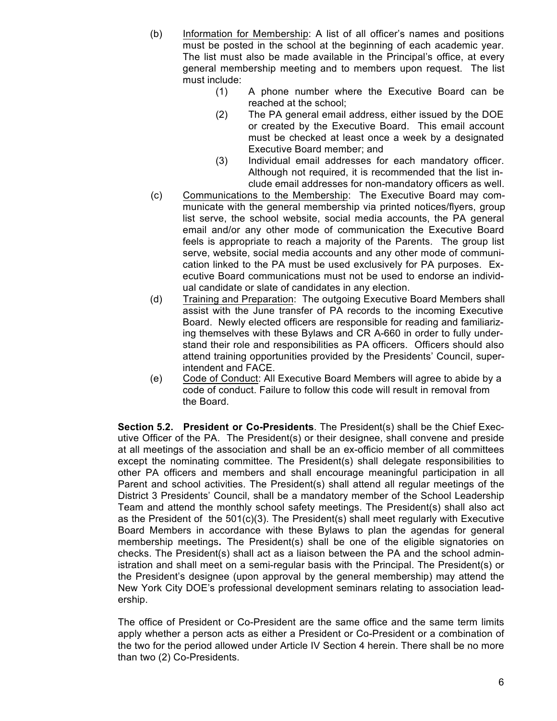- (b) Information for Membership: A list of all officer's names and positions must be posted in the school at the beginning of each academic year. The list must also be made available in the Principal's office, at every general membership meeting and to members upon request. The list must include:
	- A phone number where the Executive Board can be reached at the school;
	- The PA general email address, either issued by the DOE or created by the Executive Board. This email account must be checked at least once a week by a designated Executive Board member; and
	- (3) Individual email addresses for each mandatory officer. Although not required, it is recommended that the list include email addresses for non-mandatory officers as well.
- (c) Communications to the Membership: The Executive Board may communicate with the general membership via printed notices/flyers, group list serve, the school website, social media accounts, the PA general email and/or any other mode of communication the Executive Board feels is appropriate to reach a majority of the Parents. The group list serve, website, social media accounts and any other mode of communication linked to the PA must be used exclusively for PA purposes. Executive Board communications must not be used to endorse an individual candidate or slate of candidates in any election.
- (d) Training and Preparation: The outgoing Executive Board Members shall assist with the June transfer of PA records to the incoming Executive Board. Newly elected officers are responsible for reading and familiarizing themselves with these Bylaws and CR A-660 in order to fully understand their role and responsibilities as PA officers. Officers should also attend training opportunities provided by the Presidents' Council, superintendent and FACE.
- (e) Code of Conduct: All Executive Board Members will agree to abide by a code of conduct. Failure to follow this code will result in removal from the Board.

**Section 5.2. President or Co-Presidents**. The President(s) shall be the Chief Executive Officer of the PA. The President(s) or their designee, shall convene and preside at all meetings of the association and shall be an ex-officio member of all committees except the nominating committee. The President(s) shall delegate responsibilities to other PA officers and members and shall encourage meaningful participation in all Parent and school activities. The President(s) shall attend all regular meetings of the District 3 Presidents' Council, shall be a mandatory member of the School Leadership Team and attend the monthly school safety meetings. The President(s) shall also act as the President of the 501(c)(3). The President(s) shall meet regularly with Executive Board Members in accordance with these Bylaws to plan the agendas for general membership meetings**.** The President(s) shall be one of the eligible signatories on checks. The President(s) shall act as a liaison between the PA and the school administration and shall meet on a semi-regular basis with the Principal. The President(s) or the President's designee (upon approval by the general membership) may attend the New York City DOE's professional development seminars relating to association leadership.

The office of President or Co-President are the same office and the same term limits apply whether a person acts as either a President or Co-President or a combination of the two for the period allowed under Article IV Section 4 herein. There shall be no more than two (2) Co-Presidents.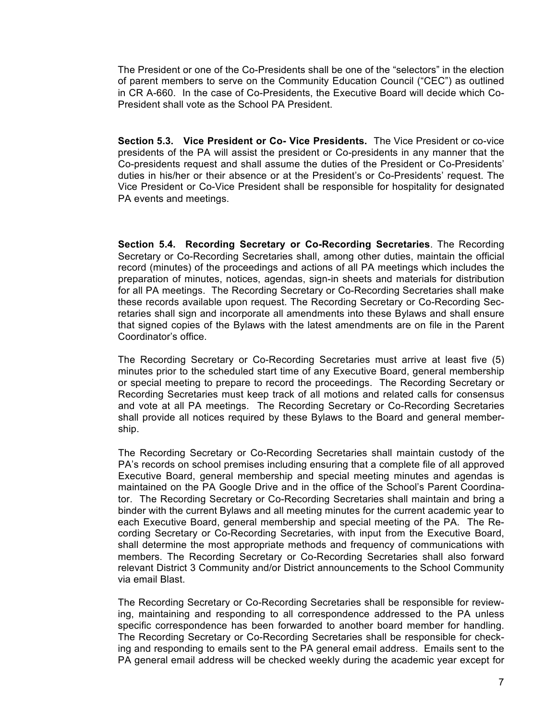The President or one of the Co-Presidents shall be one of the "selectors" in the election of parent members to serve on the Community Education Council ("CEC") as outlined in CR A-660. In the case of Co-Presidents, the Executive Board will decide which Co-President shall vote as the School PA President.

**Section 5.3. Vice President or Co- Vice Presidents.** The Vice President or co-vice presidents of the PA will assist the president or Co-presidents in any manner that the Co-presidents request and shall assume the duties of the President or Co-Presidents' duties in his/her or their absence or at the President's or Co-Presidents' request. The Vice President or Co-Vice President shall be responsible for hospitality for designated PA events and meetings.

**Section 5.4. Recording Secretary or Co-Recording Secretaries**. The Recording Secretary or Co-Recording Secretaries shall, among other duties, maintain the official record (minutes) of the proceedings and actions of all PA meetings which includes the preparation of minutes, notices, agendas, sign-in sheets and materials for distribution for all PA meetings. The Recording Secretary or Co-Recording Secretaries shall make these records available upon request. The Recording Secretary or Co-Recording Secretaries shall sign and incorporate all amendments into these Bylaws and shall ensure that signed copies of the Bylaws with the latest amendments are on file in the Parent Coordinator's office.

The Recording Secretary or Co-Recording Secretaries must arrive at least five (5) minutes prior to the scheduled start time of any Executive Board, general membership or special meeting to prepare to record the proceedings. The Recording Secretary or Recording Secretaries must keep track of all motions and related calls for consensus and vote at all PA meetings. The Recording Secretary or Co-Recording Secretaries shall provide all notices required by these Bylaws to the Board and general membership.

The Recording Secretary or Co-Recording Secretaries shall maintain custody of the PA's records on school premises including ensuring that a complete file of all approved Executive Board, general membership and special meeting minutes and agendas is maintained on the PA Google Drive and in the office of the School's Parent Coordinator. The Recording Secretary or Co-Recording Secretaries shall maintain and bring a binder with the current Bylaws and all meeting minutes for the current academic year to each Executive Board, general membership and special meeting of the PA. The Recording Secretary or Co-Recording Secretaries, with input from the Executive Board, shall determine the most appropriate methods and frequency of communications with members. The Recording Secretary or Co-Recording Secretaries shall also forward relevant District 3 Community and/or District announcements to the School Community via email Blast.

The Recording Secretary or Co-Recording Secretaries shall be responsible for reviewing, maintaining and responding to all correspondence addressed to the PA unless specific correspondence has been forwarded to another board member for handling. The Recording Secretary or Co-Recording Secretaries shall be responsible for checking and responding to emails sent to the PA general email address. Emails sent to the PA general email address will be checked weekly during the academic year except for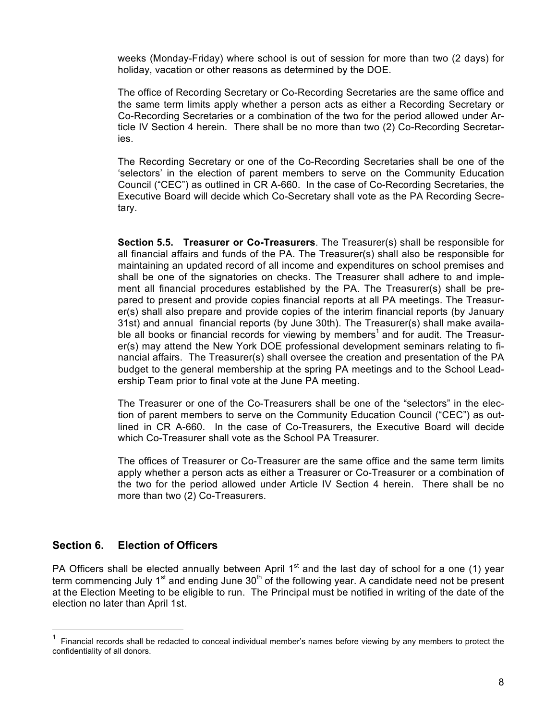weeks (Monday-Friday) where school is out of session for more than two (2 days) for holiday, vacation or other reasons as determined by the DOE.

The office of Recording Secretary or Co-Recording Secretaries are the same office and the same term limits apply whether a person acts as either a Recording Secretary or Co-Recording Secretaries or a combination of the two for the period allowed under Article IV Section 4 herein. There shall be no more than two (2) Co-Recording Secretaries.

The Recording Secretary or one of the Co-Recording Secretaries shall be one of the 'selectors' in the election of parent members to serve on the Community Education Council ("CEC") as outlined in CR A-660. In the case of Co-Recording Secretaries, the Executive Board will decide which Co-Secretary shall vote as the PA Recording Secretary.

**Section 5.5. Treasurer or Co-Treasurers**. The Treasurer(s) shall be responsible for all financial affairs and funds of the PA. The Treasurer(s) shall also be responsible for maintaining an updated record of all income and expenditures on school premises and shall be one of the signatories on checks. The Treasurer shall adhere to and implement all financial procedures established by the PA. The Treasurer(s) shall be prepared to present and provide copies financial reports at all PA meetings. The Treasurer(s) shall also prepare and provide copies of the interim financial reports (by January 31st) and annual financial reports (by June 30th). The Treasurer(s) shall make available all books or financial records for viewing by members<sup>1</sup> and for audit. The Treasurer(s) may attend the New York DOE professional development seminars relating to financial affairs. The Treasurer(s) shall oversee the creation and presentation of the PA budget to the general membership at the spring PA meetings and to the School Leadership Team prior to final vote at the June PA meeting.

The Treasurer or one of the Co-Treasurers shall be one of the "selectors" in the election of parent members to serve on the Community Education Council ("CEC") as outlined in CR A-660. In the case of Co-Treasurers, the Executive Board will decide which Co-Treasurer shall vote as the School PA Treasurer.

The offices of Treasurer or Co-Treasurer are the same office and the same term limits apply whether a person acts as either a Treasurer or Co-Treasurer or a combination of the two for the period allowed under Article IV Section 4 herein. There shall be no more than two (2) Co-Treasurers.

#### **Section 6. Election of Officers**

PA Officers shall be elected annually between April  $1<sup>st</sup>$  and the last day of school for a one (1) year term commencing July 1<sup>st</sup> and ending June  $30<sup>th</sup>$  of the following year. A candidate need not be present at the Election Meeting to be eligible to run. The Principal must be notified in writing of the date of the election no later than April 1st.

<sup>1</sup> Financial records shall be redacted to conceal individual member's names before viewing by any members to protect the confidentiality of all donors.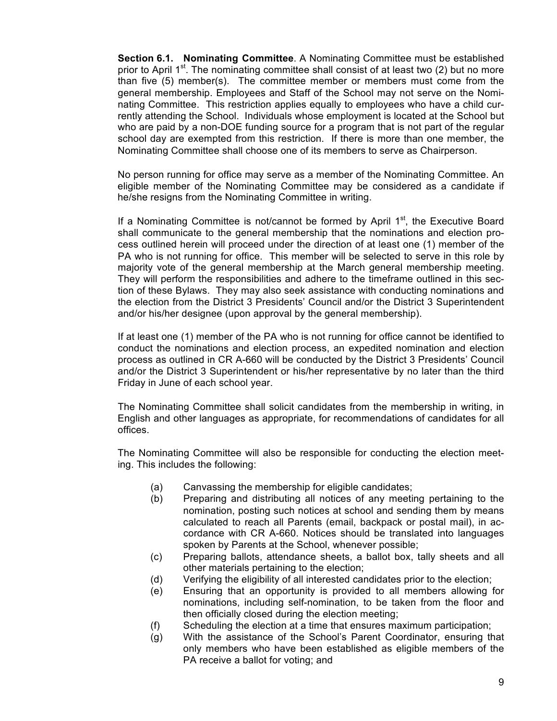**Section 6.1. Nominating Committee**. A Nominating Committee must be established prior to April  $1<sup>st</sup>$ . The nominating committee shall consist of at least two (2) but no more than five (5) member(s). The committee member or members must come from the general membership. Employees and Staff of the School may not serve on the Nominating Committee. This restriction applies equally to employees who have a child currently attending the School. Individuals whose employment is located at the School but who are paid by a non-DOE funding source for a program that is not part of the regular school day are exempted from this restriction. If there is more than one member, the Nominating Committee shall choose one of its members to serve as Chairperson.

No person running for office may serve as a member of the Nominating Committee. An eligible member of the Nominating Committee may be considered as a candidate if he/she resigns from the Nominating Committee in writing.

If a Nominating Committee is not/cannot be formed by April  $1<sup>st</sup>$ , the Executive Board shall communicate to the general membership that the nominations and election process outlined herein will proceed under the direction of at least one (1) member of the PA who is not running for office. This member will be selected to serve in this role by majority vote of the general membership at the March general membership meeting. They will perform the responsibilities and adhere to the timeframe outlined in this section of these Bylaws. They may also seek assistance with conducting nominations and the election from the District 3 Presidents' Council and/or the District 3 Superintendent and/or his/her designee (upon approval by the general membership).

If at least one (1) member of the PA who is not running for office cannot be identified to conduct the nominations and election process, an expedited nomination and election process as outlined in CR A-660 will be conducted by the District 3 Presidents' Council and/or the District 3 Superintendent or his/her representative by no later than the third Friday in June of each school year.

The Nominating Committee shall solicit candidates from the membership in writing, in English and other languages as appropriate, for recommendations of candidates for all offices.

The Nominating Committee will also be responsible for conducting the election meeting. This includes the following:

- (a) Canvassing the membership for eligible candidates;
- (b) Preparing and distributing all notices of any meeting pertaining to the nomination, posting such notices at school and sending them by means calculated to reach all Parents (email, backpack or postal mail), in accordance with CR A-660. Notices should be translated into languages spoken by Parents at the School, whenever possible;
- (c) Preparing ballots, attendance sheets, a ballot box, tally sheets and all other materials pertaining to the election;
- (d) Verifying the eligibility of all interested candidates prior to the election;
- (e) Ensuring that an opportunity is provided to all members allowing for nominations, including self-nomination, to be taken from the floor and then officially closed during the election meeting;
- (f) Scheduling the election at a time that ensures maximum participation;
- (g) With the assistance of the School's Parent Coordinator, ensuring that only members who have been established as eligible members of the PA receive a ballot for voting; and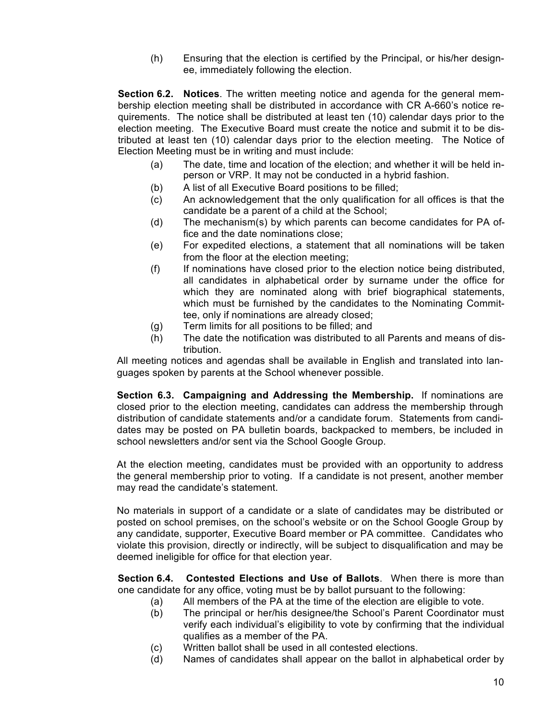(h) Ensuring that the election is certified by the Principal, or his/her designee, immediately following the election.

**Section 6.2. Notices**. The written meeting notice and agenda for the general membership election meeting shall be distributed in accordance with CR A-660's notice requirements. The notice shall be distributed at least ten (10) calendar days prior to the election meeting. The Executive Board must create the notice and submit it to be distributed at least ten (10) calendar days prior to the election meeting. The Notice of Election Meeting must be in writing and must include:

- $(a)$  The date, time and location of the election; and whether it will be held inperson or VRP. It may not be conducted in a hybrid fashion.
- (b) A list of all Executive Board positions to be filled;
- $(c)$  An acknowledgement that the only qualification for all offices is that the candidate be a parent of a child at the School;
- $(d)$  The mechanism $(s)$  by which parents can become candidates for PA office and the date nominations close;
- (e) For expedited elections, a statement that all nominations will be taken from the floor at the election meeting;
- (f) If nominations have closed prior to the election notice being distributed, all candidates in alphabetical order by surname under the office for which they are nominated along with brief biographical statements, which must be furnished by the candidates to the Nominating Committee, only if nominations are already closed;
- (g) Term limits for all positions to be filled; and
- (h) The date the notification was distributed to all Parents and means of distribution.

All meeting notices and agendas shall be available in English and translated into languages spoken by parents at the School whenever possible.

**Section 6.3. Campaigning and Addressing the Membership.** If nominations are closed prior to the election meeting, candidates can address the membership through distribution of candidate statements and/or a candidate forum. Statements from candidates may be posted on PA bulletin boards, backpacked to members, be included in school newsletters and/or sent via the School Google Group.

At the election meeting, candidates must be provided with an opportunity to address the general membership prior to voting. If a candidate is not present, another member may read the candidate's statement.

No materials in support of a candidate or a slate of candidates may be distributed or posted on school premises, on the school's website or on the School Google Group by any candidate, supporter, Executive Board member or PA committee. Candidates who violate this provision, directly or indirectly, will be subject to disqualification and may be deemed ineligible for office for that election year.

**Section 6.4. Contested Elections and Use of Ballots**.When there is more than one candidate for any office, voting must be by ballot pursuant to the following:

- (a) All members of the PA at the time of the election are eligible to vote.
- (b) The principal or her/his designee/the School's Parent Coordinator must verify each individual's eligibility to vote by confirming that the individual qualifies as a member of the PA.
- (c) Written ballot shall be used in all contested elections.
- (d) Names of candidates shall appear on the ballot in alphabetical order by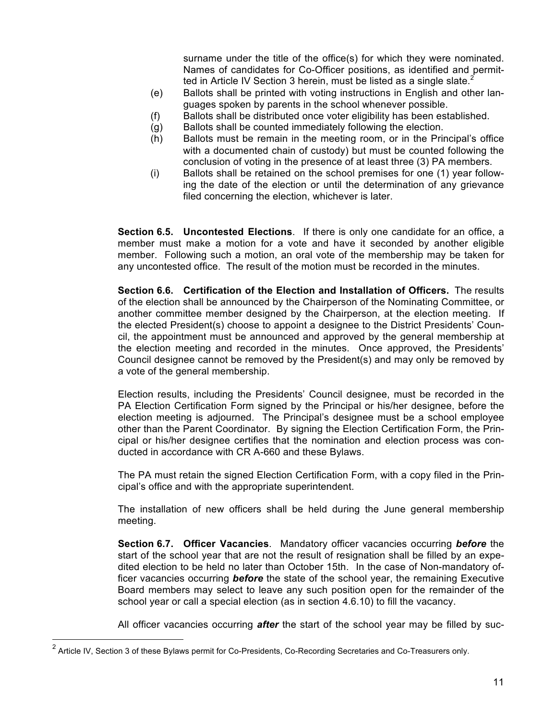surname under the title of the office(s) for which they were nominated. Names of candidates for Co-Officer positions, as identified and permitted in Article IV Section 3 herein, must be listed as a single slate.<sup>2</sup>

- (e) Ballots shall be printed with voting instructions in English and other languages spoken by parents in the school whenever possible.
- (f) Ballots shall be distributed once voter eligibility has been established.
- (g) Ballots shall be counted immediately following the election.
- (h) Ballots must be remain in the meeting room, or in the Principal's office with a documented chain of custody) but must be counted following the conclusion of voting in the presence of at least three (3) PA members.
- (i) Ballots shall be retained on the school premises for one (1) year following the date of the election or until the determination of any grievance filed concerning the election, whichever is later.

**Section 6.5. Uncontested Elections**. If there is only one candidate for an office, a member must make a motion for a vote and have it seconded by another eligible member. Following such a motion, an oral vote of the membership may be taken for any uncontested office. The result of the motion must be recorded in the minutes.

**Section 6.6. Certification of the Election and Installation of Officers.** The results of the election shall be announced by the Chairperson of the Nominating Committee, or another committee member designed by the Chairperson, at the election meeting. If the elected President(s) choose to appoint a designee to the District Presidents' Council, the appointment must be announced and approved by the general membership at the election meeting and recorded in the minutes. Once approved, the Presidents' Council designee cannot be removed by the President(s) and may only be removed by a vote of the general membership.

Election results, including the Presidents' Council designee, must be recorded in the PA Election Certification Form signed by the Principal or his/her designee, before the election meeting is adjourned. The Principal's designee must be a school employee other than the Parent Coordinator. By signing the Election Certification Form, the Principal or his/her designee certifies that the nomination and election process was conducted in accordance with CR A-660 and these Bylaws.

The PA must retain the signed Election Certification Form, with a copy filed in the Principal's office and with the appropriate superintendent.

The installation of new officers shall be held during the June general membership meeting.

**Section 6.7. Officer Vacancies**. Mandatory officer vacancies occurring *before* the start of the school year that are not the result of resignation shall be filled by an expedited election to be held no later than October 15th. In the case of Non-mandatory officer vacancies occurring *before* the state of the school year, the remaining Executive Board members may select to leave any such position open for the remainder of the school year or call a special election (as in section 4.6.10) to fill the vacancy.

All officer vacancies occurring *after* the start of the school year may be filled by suc-

<sup>&</sup>lt;sup>2</sup> Article IV. Section 3 of these Bylaws permit for Co-Presidents, Co-Recording Secretaries and Co-Treasurers only.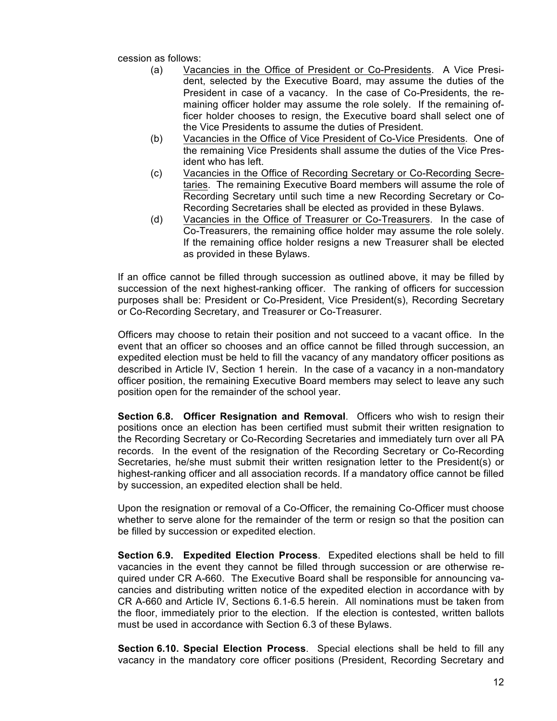cession as follows:

- (a) Vacancies in the Office of President or Co-Presidents. A Vice President, selected by the Executive Board, may assume the duties of the President in case of a vacancy. In the case of Co-Presidents, the remaining officer holder may assume the role solely. If the remaining officer holder chooses to resign, the Executive board shall select one of the Vice Presidents to assume the duties of President.
- (b) Vacancies in the Office of Vice President of Co-Vice Presidents. One of the remaining Vice Presidents shall assume the duties of the Vice President who has left.
- (c) Vacancies in the Office of Recording Secretary or Co-Recording Secretaries. The remaining Executive Board members will assume the role of Recording Secretary until such time a new Recording Secretary or Co-Recording Secretaries shall be elected as provided in these Bylaws.
- (d) Vacancies in the Office of Treasurer or Co-Treasurers. In the case of Co-Treasurers, the remaining office holder may assume the role solely. If the remaining office holder resigns a new Treasurer shall be elected as provided in these Bylaws.

If an office cannot be filled through succession as outlined above, it may be filled by succession of the next highest-ranking officer. The ranking of officers for succession purposes shall be: President or Co-President, Vice President(s), Recording Secretary or Co-Recording Secretary, and Treasurer or Co-Treasurer.

Officers may choose to retain their position and not succeed to a vacant office. In the event that an officer so chooses and an office cannot be filled through succession, an expedited election must be held to fill the vacancy of any mandatory officer positions as described in Article IV, Section 1 herein. In the case of a vacancy in a non-mandatory officer position, the remaining Executive Board members may select to leave any such position open for the remainder of the school year.

**Section 6.8. Officer Resignation and Removal**. Officers who wish to resign their positions once an election has been certified must submit their written resignation to the Recording Secretary or Co-Recording Secretaries and immediately turn over all PA records. In the event of the resignation of the Recording Secretary or Co-Recording Secretaries, he/she must submit their written resignation letter to the President(s) or highest-ranking officer and all association records. If a mandatory office cannot be filled by succession, an expedited election shall be held.

Upon the resignation or removal of a Co-Officer, the remaining Co-Officer must choose whether to serve alone for the remainder of the term or resign so that the position can be filled by succession or expedited election.

**Section 6.9. Expedited Election Process**. Expedited elections shall be held to fill vacancies in the event they cannot be filled through succession or are otherwise required under CR A-660. The Executive Board shall be responsible for announcing vacancies and distributing written notice of the expedited election in accordance with by CR A-660 and Article IV, Sections 6.1-6.5 herein. All nominations must be taken from the floor, immediately prior to the election. If the election is contested, written ballots must be used in accordance with Section 6.3 of these Bylaws.

**Section 6.10. Special Election Process**. Special elections shall be held to fill any vacancy in the mandatory core officer positions (President, Recording Secretary and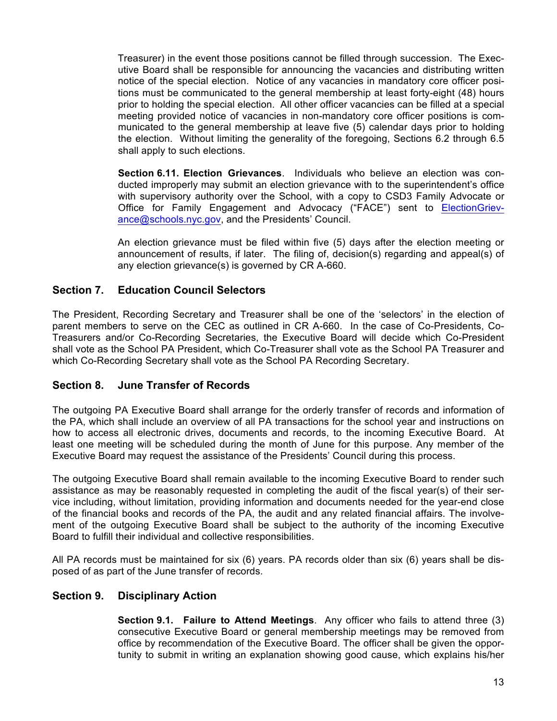Treasurer) in the event those positions cannot be filled through succession. The Executive Board shall be responsible for announcing the vacancies and distributing written notice of the special election. Notice of any vacancies in mandatory core officer positions must be communicated to the general membership at least forty-eight (48) hours prior to holding the special election. All other officer vacancies can be filled at a special meeting provided notice of vacancies in non-mandatory core officer positions is communicated to the general membership at leave five (5) calendar days prior to holding the election. Without limiting the generality of the foregoing, Sections 6.2 through 6.5 shall apply to such elections.

**Section 6.11. Election Grievances**. Individuals who believe an election was conducted improperly may submit an election grievance with to the superintendent's office with supervisory authority over the School, with a copy to CSD3 Family Advocate or Office for Family Engagement and Advocacy ("FACE") sent to ElectionGrievance@schools.nyc.gov, and the Presidents' Council.

An election grievance must be filed within five (5) days after the election meeting or announcement of results, if later. The filing of, decision(s) regarding and appeal(s) of any election grievance(s) is governed by CR A-660.

#### **Section 7. Education Council Selectors**

The President, Recording Secretary and Treasurer shall be one of the 'selectors' in the election of parent members to serve on the CEC as outlined in CR A-660. In the case of Co-Presidents, Co-Treasurers and/or Co-Recording Secretaries, the Executive Board will decide which Co-President shall vote as the School PA President, which Co-Treasurer shall vote as the School PA Treasurer and which Co-Recording Secretary shall vote as the School PA Recording Secretary.

#### **Section 8. June Transfer of Records**

The outgoing PA Executive Board shall arrange for the orderly transfer of records and information of the PA, which shall include an overview of all PA transactions for the school year and instructions on how to access all electronic drives, documents and records, to the incoming Executive Board. At least one meeting will be scheduled during the month of June for this purpose. Any member of the Executive Board may request the assistance of the Presidents' Council during this process.

The outgoing Executive Board shall remain available to the incoming Executive Board to render such assistance as may be reasonably requested in completing the audit of the fiscal year(s) of their service including, without limitation, providing information and documents needed for the year-end close of the financial books and records of the PA, the audit and any related financial affairs. The involvement of the outgoing Executive Board shall be subject to the authority of the incoming Executive Board to fulfill their individual and collective responsibilities.

All PA records must be maintained for six (6) years. PA records older than six (6) years shall be disposed of as part of the June transfer of records.

#### **Section 9. Disciplinary Action**

**Section 9.1. Failure to Attend Meetings**. Any officer who fails to attend three (3) consecutive Executive Board or general membership meetings may be removed from office by recommendation of the Executive Board. The officer shall be given the opportunity to submit in writing an explanation showing good cause, which explains his/her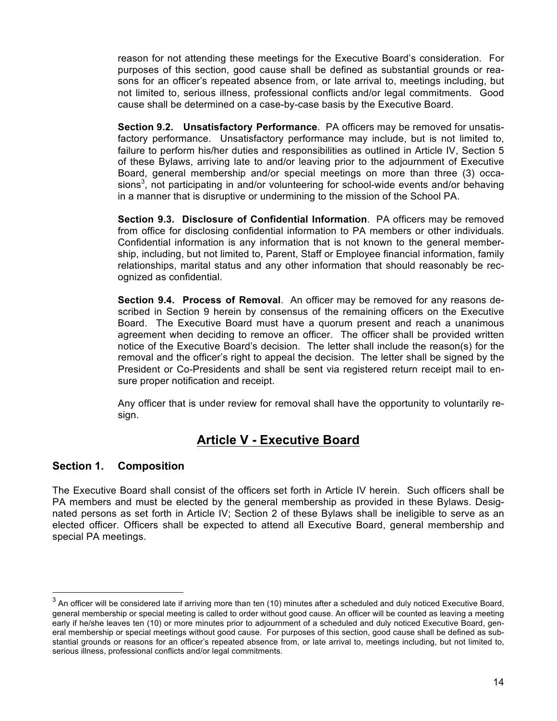reason for not attending these meetings for the Executive Board's consideration. For purposes of this section, good cause shall be defined as substantial grounds or reasons for an officer's repeated absence from, or late arrival to, meetings including, but not limited to, serious illness, professional conflicts and/or legal commitments. Good cause shall be determined on a case-by-case basis by the Executive Board.

**Section 9.2. Unsatisfactory Performance**. PA officers may be removed for unsatisfactory performance. Unsatisfactory performance may include, but is not limited to, failure to perform his/her duties and responsibilities as outlined in Article IV, Section 5 of these Bylaws, arriving late to and/or leaving prior to the adjournment of Executive Board, general membership and/or special meetings on more than three (3) occasions<sup>3</sup>, not participating in and/or volunteering for school-wide events and/or behaving in a manner that is disruptive or undermining to the mission of the School PA.

**Section 9.3. Disclosure of Confidential Information**. PA officers may be removed from office for disclosing confidential information to PA members or other individuals. Confidential information is any information that is not known to the general membership, including, but not limited to, Parent, Staff or Employee financial information, family relationships, marital status and any other information that should reasonably be recognized as confidential.

**Section 9.4. Process of Removal**. An officer may be removed for any reasons described in Section 9 herein by consensus of the remaining officers on the Executive Board. The Executive Board must have a quorum present and reach a unanimous agreement when deciding to remove an officer. The officer shall be provided written notice of the Executive Board's decision. The letter shall include the reason(s) for the removal and the officer's right to appeal the decision. The letter shall be signed by the President or Co-Presidents and shall be sent via registered return receipt mail to ensure proper notification and receipt.

Any officer that is under review for removal shall have the opportunity to voluntarily resign.

# **Article V - Executive Board**

#### **Section 1. Composition**

The Executive Board shall consist of the officers set forth in Article IV herein. Such officers shall be PA members and must be elected by the general membership as provided in these Bylaws. Designated persons as set forth in Article IV; Section 2 of these Bylaws shall be ineligible to serve as an elected officer. Officers shall be expected to attend all Executive Board, general membership and special PA meetings.

 $3$  An officer will be considered late if arriving more than ten (10) minutes after a scheduled and duly noticed Executive Board, general membership or special meeting is called to order without good cause. An officer will be counted as leaving a meeting early if he/she leaves ten (10) or more minutes prior to adjournment of a scheduled and duly noticed Executive Board, general membership or special meetings without good cause. For purposes of this section, good cause shall be defined as substantial grounds or reasons for an officer's repeated absence from, or late arrival to, meetings including, but not limited to, serious illness, professional conflicts and/or legal commitments.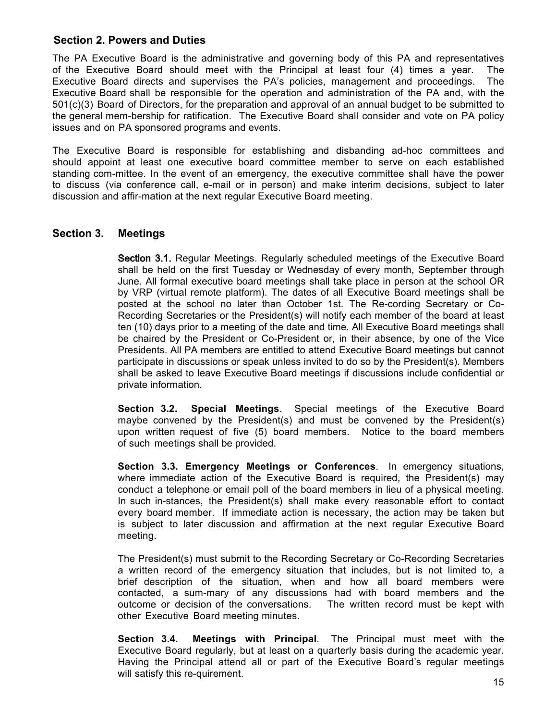#### **Section 2. Powers and Duties**

The PA Executive Board is the administrative and governing body of this PA and representatives of the Executive Board should meet with the Principal at least four (4) times a year. The Executive Board directs and supervises the PA's policies, management and proceedings. The Executive Board shall be responsible for the operation and administration of the PA and, with the 501(c)(3) Board of Directors, for the preparation and approval of an annual budget to be submitted to the general mem-bership for ratification. The Executive Board shall consider and vote on PA policy issues and on PA sponsored programs and events.

The Executive Board is responsible for establishing and disbanding ad-hoc committees and should appoint at least one executive board committee member to serve on each established standing com-mittee. In the event of an emergency, the executive committee shall have the power to discuss (via conference call, e-mail or in person) and make interim decisions, subject to later discussion and affir-mation at the next regular Executive Board meeting.

#### **Section 3. Meetings**

Section 3.1. Regular Meetings. Regularly scheduled meetings of the Executive Board shall be held on the first Tuesday or Wednesday of every month, September through June. All formal executive board meetings shall take place in person at the school OR by VRP (virtual remote platform). The dates of all Executive Board meetings shall be posted at the school no later than October 1st. The Re-cording Secretary or Co-Recording Secretaries or the President(s) will notify each member of the board at least ten (10) days prior to a meeting of the date and time. All Executive Board meetings shall be chaired by the President or Co-President or, in their absence, by one of the Vice Presidents. All PA members are entitled to attend Executive Board meetings but cannot participate in discussions or speak unless invited to do so by the President(s). Members shall be asked to leave Executive Board meetings if discussions include confidential or private information.

**Section 3.2. Special Meetings**. Special meetings of the Executive Board maybe convened by the President(s) and must be convened by the President(s) upon written request of five (5) board members. Notice to the board members of such meetings shall be provided.

**Section 3.3. Emergency Meetings or Conferences**. In emergency situations, where immediate action of the Executive Board is required, the President(s) may conduct a telephone or email poll of the board members in lieu of a physical meeting. In such in-stances, the President(s) shall make every reasonable effort to contact every board member. If immediate action is necessary, the action may be taken but is subject to later discussion and affirmation at the next regular Executive Board meeting.

The President(s) must submit to the Recording Secretary or Co-Recording Secretaries a written record of the emergency situation that includes, but is not limited to, a brief description of the situation, when and how all board members were contacted, a sum-mary of any discussions had with board members and the outcome or decision of the conversations. The written record must be kept with other Executive Board meeting minutes.

**Section 3.4. Meetings with Principal**. The Principal must meet with the Executive Board regularly, but at least on a quarterly basis during the academic year. Having the Principal attend all or part of the Executive Board's regular meetings will satisfy this re-quirement.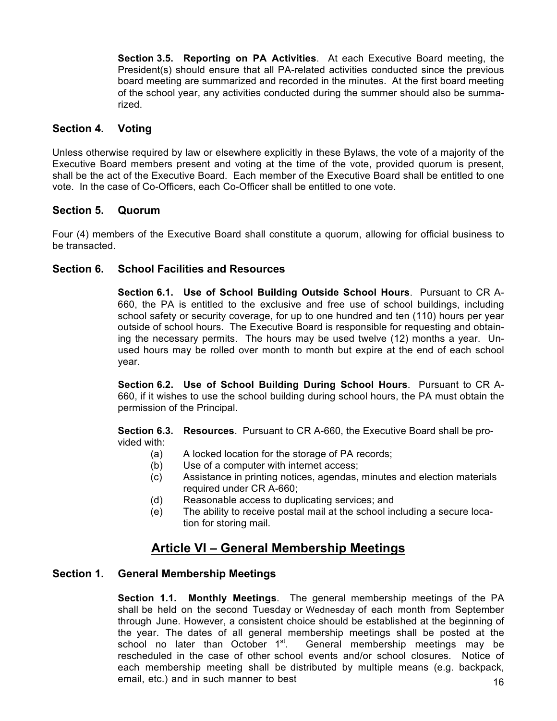**Section 3.5. Reporting on PA Activities**. At each Executive Board meeting, the President(s) should ensure that all PA-related activities conducted since the previous board meeting are summarized and recorded in the minutes. At the first board meeting of the school year, any activities conducted during the summer should also be summarized.

#### **Section 4. Voting**

Unless otherwise required by law or elsewhere explicitly in these Bylaws, the vote of a majority of the Executive Board members present and voting at the time of the vote, provided quorum is present, shall be the act of the Executive Board. Each member of the Executive Board shall be entitled to one vote. In the case of Co-Officers, each Co-Officer shall be entitled to one vote.

#### **Section 5. Quorum**

Four (4) members of the Executive Board shall constitute a quorum, allowing for official business to be transacted.

#### **Section 6. School Facilities and Resources**

**Section 6.1. Use of School Building Outside School Hours**. Pursuant to CR A-660, the PA is entitled to the exclusive and free use of school buildings, including school safety or security coverage, for up to one hundred and ten (110) hours per year outside of school hours. The Executive Board is responsible for requesting and obtaining the necessary permits. The hours may be used twelve (12) months a year. Unused hours may be rolled over month to month but expire at the end of each school year.

**Section 6.2. Use of School Building During School Hours**. Pursuant to CR A-660, if it wishes to use the school building during school hours, the PA must obtain the permission of the Principal.

**Section 6.3. Resources**. Pursuant to CR A-660, the Executive Board shall be provided with:

- (a) A locked location for the storage of PA records;
- (b) Use of a computer with internet access;
- (c) Assistance in printing notices, agendas, minutes and election materials required under CR A-660;
- (d) Reasonable access to duplicating services; and
- (e) The ability to receive postal mail at the school including a secure location for storing mail.

# **Article VI – General Membership Meetings**

#### **Section 1. General Membership Meetings**

16 **Section 1.1. Monthly Meetings**. The general membership meetings of the PA shall be held on the second Tuesday or Wednesday of each month from September through June. However, a consistent choice should be established at the beginning of the year. The dates of all general membership meetings shall be posted at the school no later than October  $1<sup>st</sup>$ . General membership meetings may be General membership meetings may be rescheduled in the case of other school events and/or school closures. Notice of each membership meeting shall be distributed by multiple means (e.g. backpack, email, etc.) and in such manner to best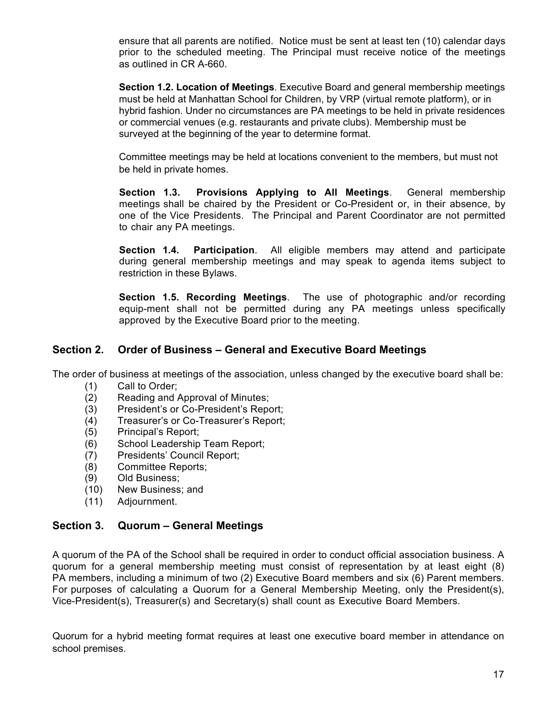ensure that all parents are notified. Notice must be sent at least ten (10) calendar days prior to the scheduled meeting. The Principal must receive notice of the meetings as outlined in CR A-660.

**Section 1.2. Location of Meetings**. Executive Board and general membership meetings must be held at Manhattan School for Children, by VRP (virtual remote platform), or in hybrid fashion. Under no circumstances are PA meetings to be held in private residences or commercial venues (e.g. restaurants and private clubs). Membership must be surveyed at the beginning of the year to determine format.

Committee meetings may be held at locations convenient to the members, but must not be held in private homes.

**Section 1.3. Provisions Applying to All Meetings**. General membership meetings shall be chaired by the President or Co-President or, in their absence, by one of the Vice Presidents. The Principal and Parent Coordinator are not permitted to chair any PA meetings.

**Section 1.4. Participation**. All eligible members may attend and participate during general membership meetings and may speak to agenda items subject to restriction in these Bylaws.

**Section 1.5. Recording Meetings**. The use of photographic and/or recording equip-ment shall not be permitted during any PA meetings unless specifically approved by the Executive Board prior to the meeting.

#### **Section 2. Order of Business – General and Executive Board Meetings**

The order of business at meetings of the association, unless changed by the executive board shall be:

- Call to Order;
- Reading and Approval of Minutes;
- President's or Co-President's Report;
- (4) Treasurer's or Co-Treasurer's Report;
- (5) Principal's Report;
- (6) School Leadership Team Report;
- Presidents' Council Report;
- Committee Reports;
- Old Business;
- (10) New Business; and
- (11) Adjournment.

#### **Section 3. Quorum – General Meetings**

A quorum of the PA of the School shall be required in order to conduct official association business. A quorum for a general membership meeting must consist of representation by at least eight (8) PA members, including a minimum of two (2) Executive Board members and six (6) Parent members. For purposes of calculating a Quorum for a General Membership Meeting, only the President(s), Vice-President(s), Treasurer(s) and Secretary(s) shall count as Executive Board Members.

Quorum for a hybrid meeting format requires at least one executive board member in attendance on school premises.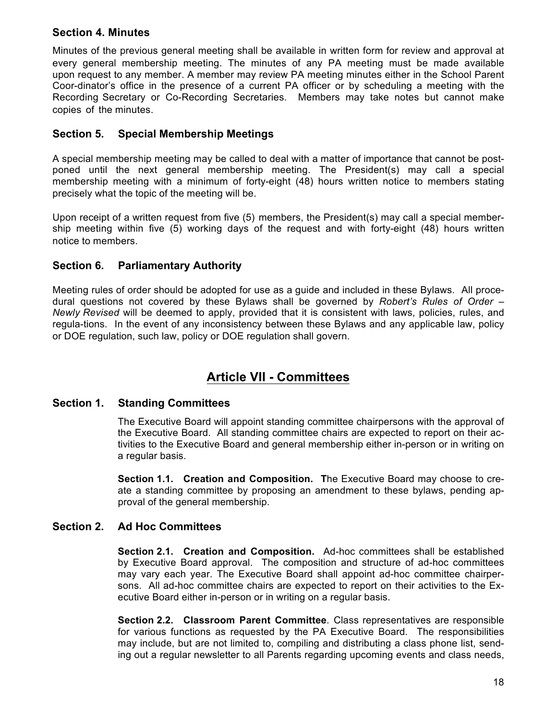#### **Section 4. Minutes**

Minutes of the previous general meeting shall be available in written form for review and approval at every general membership meeting. The minutes of any PA meeting must be made available upon request to any member. A member may review PA meeting minutes either in the School Parent Coor-dinator's office in the presence of a current PA officer or by scheduling a meeting with the Recording Secretary or Co-Recording Secretaries. Members may take notes but cannot make copies of the minutes.

#### **Section 5. Special Membership Meetings**

A special membership meeting may be called to deal with a matter of importance that cannot be postponed until the next general membership meeting. The President(s) may call a special membership meeting with a minimum of forty-eight (48) hours written notice to members stating precisely what the topic of the meeting will be.

Upon receipt of a written request from five (5) members, the President(s) may call a special membership meeting within five (5) working days of the request and with forty-eight (48) hours written notice to members.

#### **Section 6. Parliamentary Authority**

Meeting rules of order should be adopted for use as a guide and included in these Bylaws. All procedural questions not covered by these Bylaws shall be governed by *Robert's Rules of Order – Newly Revised* will be deemed to apply, provided that it is consistent with laws, policies, rules, and regula-tions. In the event of any inconsistency between these Bylaws and any applicable law, policy or DOE regulation, such law, policy or DOE regulation shall govern.

# **Article VII - Committees**

#### **Section 1. Standing Committees**

The Executive Board will appoint standing committee chairpersons with the approval of the Executive Board. All standing committee chairs are expected to report on their activities to the Executive Board and general membership either in-person or in writing on a regular basis.

**Section 1.1. Creation and Composition. T**he Executive Board may choose to create a standing committee by proposing an amendment to these bylaws, pending approval of the general membership.

#### **Section 2. Ad Hoc Committees**

**Section 2.1. Creation and Composition.** Ad-hoc committees shall be established by Executive Board approval. The composition and structure of ad-hoc committees may vary each year. The Executive Board shall appoint ad-hoc committee chairpersons. All ad-hoc committee chairs are expected to report on their activities to the Executive Board either in-person or in writing on a regular basis.

**Section 2.2. Classroom Parent Committee**. Class representatives are responsible for various functions as requested by the PA Executive Board. The responsibilities may include, but are not limited to, compiling and distributing a class phone list, sending out a regular newsletter to all Parents regarding upcoming events and class needs,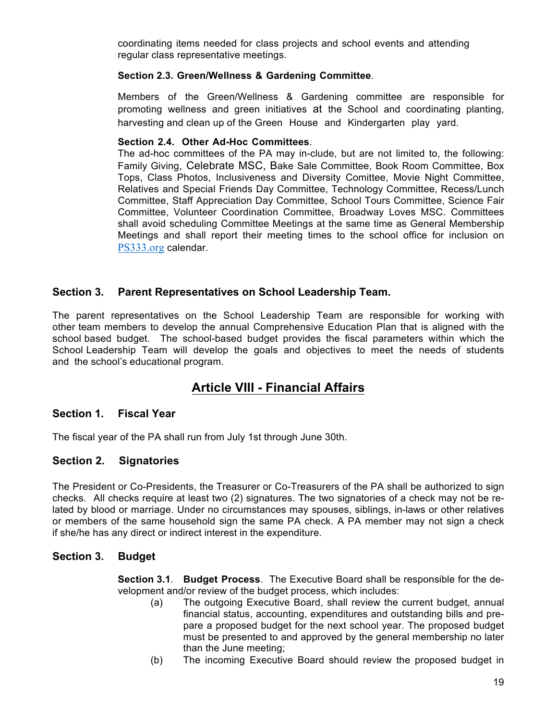coordinating items needed for class projects and school events and attending regular class representative meetings.

#### **Section 2.3. Green/Wellness & Gardening Committee**

Members of the Green/Wellness & Gardening committee are responsible for promoting wellness and green initiatives at the School and coordinating planting, harvesting and clean up of the Green House and Kindergarten play yard.

#### **Section 2.4. Other Ad-Hoc Committees**.

The ad-hoc committees of the PA may in-clude, but are not limited to, the following: Family Giving, Celebrate MSC, Bake Sale Committee, Book Room Committee, Box Tops, Class Photos, Inclusiveness and Diversity Comittee, Movie Night Committee, Relatives and Special Friends Day Committee, Technology Committee, Recess/Lunch Committee, Staff Appreciation Day Committee, School Tours Committee, Science Fair Committee, Volunteer Coordination Committee, Broadway Loves MSC. Committees shall avoid scheduling Committee Meetings at the same time as General Membership Meetings and shall report their meeting times to the school office for inclusion on PS333.org calendar.

#### **Section 3. Parent Representatives on School Leadership Team.**

The parent representatives on the School Leadership Team are responsible for working with other team members to develop the annual Comprehensive Education Plan that is aligned with the school based budget. The school-based budget provides the fiscal parameters within which the School Leadership Team will develop the goals and objectives to meet the needs of students and the school's educational program.

## **Article VIII - Financial Affairs**

#### **Section 1. Fiscal Year**

The fiscal year of the PA shall run from July 1st through June 30th.

#### **Section 2. Signatories**

The President or Co-Presidents, the Treasurer or Co-Treasurers of the PA shall be authorized to sign checks. All checks require at least two (2) signatures. The two signatories of a check may not be related by blood or marriage. Under no circumstances may spouses, siblings, in-laws or other relatives or members of the same household sign the same PA check. A PA member may not sign a check if she/he has any direct or indirect interest in the expenditure.

#### **Section 3. Budget**

**Section 3.1**. **Budget Process**. The Executive Board shall be responsible for the development and/or review of the budget process, which includes:

- (a) The outgoing Executive Board, shall review the current budget, annual financial status, accounting, expenditures and outstanding bills and prepare a proposed budget for the next school year. The proposed budget must be presented to and approved by the general membership no later than the June meeting;
- (b) The incoming Executive Board should review the proposed budget in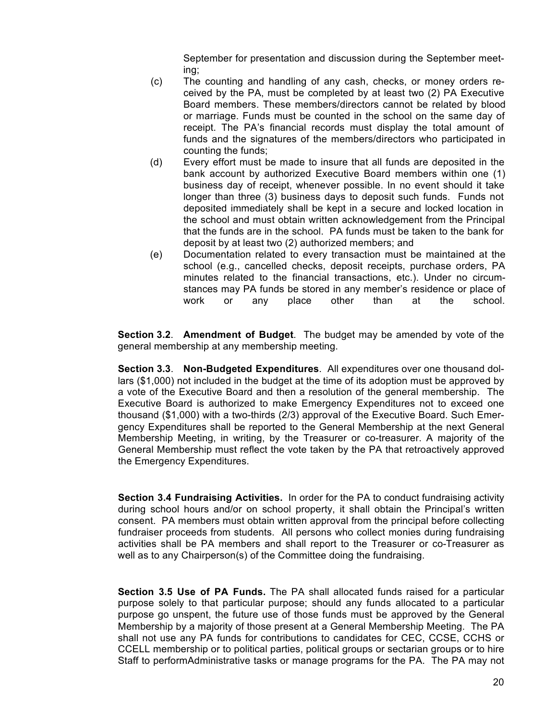September for presentation and discussion during the September meeting;

- (c) The counting and handling of any cash, checks, or money orders received by the PA, must be completed by at least two (2) PA Executive Board members. These members/directors cannot be related by blood or marriage. Funds must be counted in the school on the same day of receipt. The PA's financial records must display the total amount of funds and the signatures of the members/directors who participated in counting the funds;
- (d) Every effort must be made to insure that all funds are deposited in the bank account by authorized Executive Board members within one (1) business day of receipt, whenever possible. In no event should it take longer than three (3) business days to deposit such funds. Funds not deposited immediately shall be kept in a secure and locked location in the school and must obtain written acknowledgement from the Principal that the funds are in the school. PA funds must be taken to the bank for deposit by at least two (2) authorized members; and
- (e) Documentation related to every transaction must be maintained at the school (e.g., cancelled checks, deposit receipts, purchase orders, PA minutes related to the financial transactions, etc.). Under no circumstances may PA funds be stored in any member's residence or place of work or any place other than at the school.

**Section 3.2**. **Amendment of Budget**. The budget may be amended by vote of the general membership at any membership meeting.

**Section 3.3**. **Non-Budgeted Expenditures**. All expenditures over one thousand dollars (\$1,000) not included in the budget at the time of its adoption must be approved by a vote of the Executive Board and then a resolution of the general membership. The Executive Board is authorized to make Emergency Expenditures not to exceed one thousand (\$1,000) with a two-thirds (2/3) approval of the Executive Board. Such Emergency Expenditures shall be reported to the General Membership at the next General Membership Meeting, in writing, by the Treasurer or co-treasurer. A majority of the General Membership must reflect the vote taken by the PA that retroactively approved the Emergency Expenditures.

**Section 3.4 Fundraising Activities.** In order for the PA to conduct fundraising activity during school hours and/or on school property, it shall obtain the Principal's written consent. PA members must obtain written approval from the principal before collecting fundraiser proceeds from students. All persons who collect monies during fundraising activities shall be PA members and shall report to the Treasurer or co-Treasurer as well as to any Chairperson(s) of the Committee doing the fundraising.

**Section 3.5 Use of PA Funds.** The PA shall allocated funds raised for a particular purpose solely to that particular purpose; should any funds allocated to a particular purpose go unspent, the future use of those funds must be approved by the General Membership by a majority of those present at a General Membership Meeting. The PA shall not use any PA funds for contributions to candidates for CEC, CCSE, CCHS or CCELL membership or to political parties, political groups or sectarian groups or to hire Staff to performAdministrative tasks or manage programs for the PA. The PA may not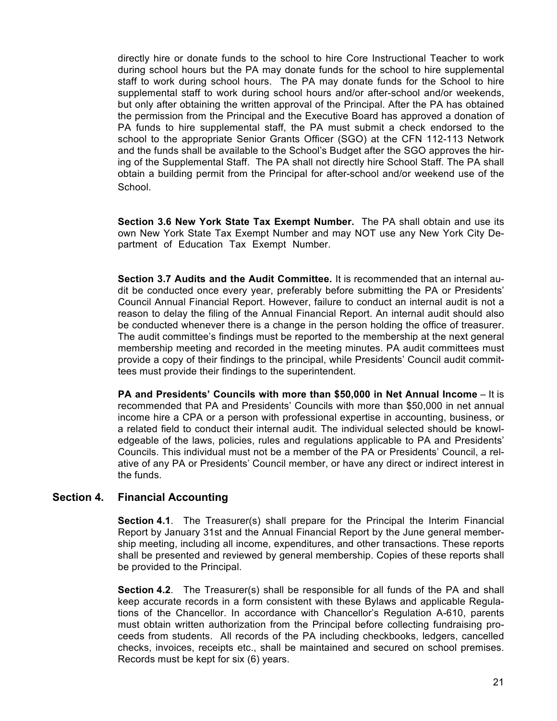directly hire or donate funds to the school to hire Core Instructional Teacher to work during school hours but the PA may donate funds for the school to hire supplemental staff to work during school hours. The PA may donate funds for the School to hire supplemental staff to work during school hours and/or after-school and/or weekends, but only after obtaining the written approval of the Principal. After the PA has obtained the permission from the Principal and the Executive Board has approved a donation of PA funds to hire supplemental staff, the PA must submit a check endorsed to the school to the appropriate Senior Grants Officer (SGO) at the CFN 112-113 Network and the funds shall be available to the School's Budget after the SGO approves the hiring of the Supplemental Staff. The PA shall not directly hire School Staff. The PA shall obtain a building permit from the Principal for after-school and/or weekend use of the School.

**Section 3.6 New York State Tax Exempt Number.** The PA shall obtain and use its own New York State Tax Exempt Number and may NOT use any New York City Department of Education Tax Exempt Number.

**Section 3.7 Audits and the Audit Committee.** It is recommended that an internal audit be conducted once every year, preferably before submitting the PA or Presidents' Council Annual Financial Report. However, failure to conduct an internal audit is not a reason to delay the filing of the Annual Financial Report. An internal audit should also be conducted whenever there is a change in the person holding the office of treasurer. The audit committee's findings must be reported to the membership at the next general membership meeting and recorded in the meeting minutes. PA audit committees must provide a copy of their findings to the principal, while Presidents' Council audit committees must provide their findings to the superintendent.

**PA and Presidents' Councils with more than \$50,000 in Net Annual Income** – It is recommended that PA and Presidents' Councils with more than \$50,000 in net annual income hire a CPA or a person with professional expertise in accounting, business, or a related field to conduct their internal audit. The individual selected should be knowledgeable of the laws, policies, rules and regulations applicable to PA and Presidents' Councils. This individual must not be a member of the PA or Presidents' Council, a relative of any PA or Presidents' Council member, or have any direct or indirect interest in the funds.

#### **Section 4. Financial Accounting**

**Section 4.1**. The Treasurer(s) shall prepare for the Principal the Interim Financial Report by January 31st and the Annual Financial Report by the June general membership meeting, including all income, expenditures, and other transactions. These reports shall be presented and reviewed by general membership. Copies of these reports shall be provided to the Principal.

**Section 4.2**. The Treasurer(s) shall be responsible for all funds of the PA and shall keep accurate records in a form consistent with these Bylaws and applicable Regulations of the Chancellor. In accordance with Chancellor's Regulation A-610, parents must obtain written authorization from the Principal before collecting fundraising proceeds from students. All records of the PA including checkbooks, ledgers, cancelled checks, invoices, receipts etc., shall be maintained and secured on school premises. Records must be kept for six (6) years.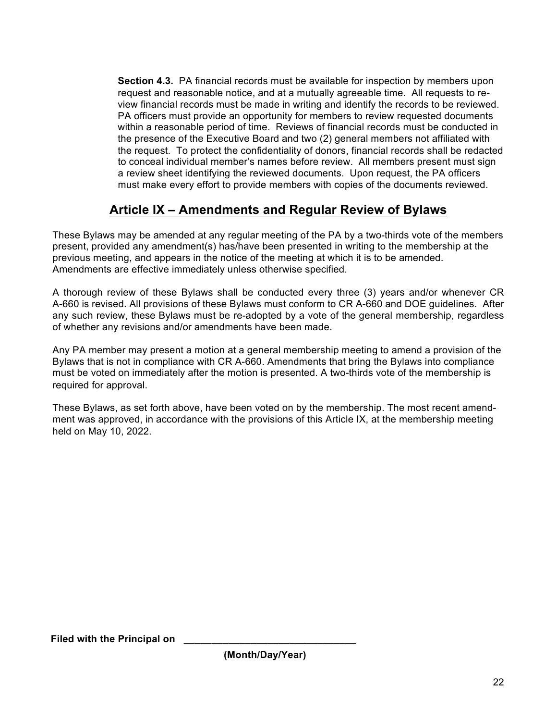**Section 4.3.** PA financial records must be available for inspection by members upon request and reasonable notice, and at a mutually agreeable time. All requests to review financial records must be made in writing and identify the records to be reviewed. PA officers must provide an opportunity for members to review requested documents within a reasonable period of time. Reviews of financial records must be conducted in the presence of the Executive Board and two (2) general members not affiliated with the request. To protect the confidentiality of donors, financial records shall be redacted to conceal individual member's names before review. All members present must sign a review sheet identifying the reviewed documents. Upon request, the PA officers must make every effort to provide members with copies of the documents reviewed.

# **Article IX – Amendments and Regular Review of Bylaws**

These Bylaws may be amended at any regular meeting of the PA by a two-thirds vote of the members present, provided any amendment(s) has/have been presented in writing to the membership at the previous meeting, and appears in the notice of the meeting at which it is to be amended. Amendments are effective immediately unless otherwise specified.

A thorough review of these Bylaws shall be conducted every three (3) years and/or whenever CR A-660 is revised. All provisions of these Bylaws must conform to CR A-660 and DOE guidelines. After any such review, these Bylaws must be re-adopted by a vote of the general membership, regardless of whether any revisions and/or amendments have been made.

Any PA member may present a motion at a general membership meeting to amend a provision of the Bylaws that is not in compliance with CR A-660. Amendments that bring the Bylaws into compliance must be voted on immediately after the motion is presented. A two-thirds vote of the membership is required for approval.

These Bylaws, as set forth above, have been voted on by the membership. The most recent amendment was approved, in accordance with the provisions of this Article IX, at the membership meeting held on May 10, 2022.

**Filed with the Principal on**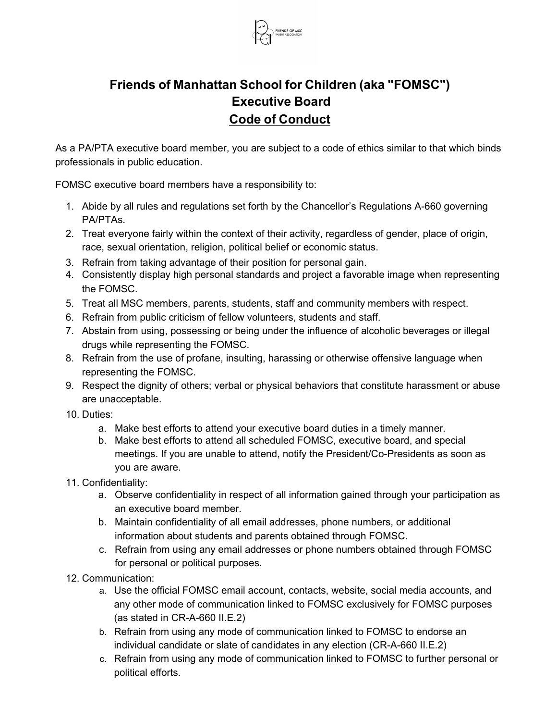

# **Friends of Manhattan School for Children (aka "FOMSC") Executive Board Code of Conduct**

As a PA/PTA executive board member, you are subject to a code of ethics similar to that which binds professionals in public education.

FOMSC executive board members have a responsibility to:

- 1. Abide by all rules and requiations set forth by the Chancellor's Requiations A-660 governing PA/PTAs.
- 2. Treat everyone fairly within the context of their activity, regardless of gender, place of origin, race, sexual orientation, religion, political belief or economic status.
- 3. Refrain from taking advantage of their position for personal gain.
- 4. Consistently display high personal standards and project a favorable image when representing the FOMSC.
- 5. Treat all MSC members, parents, students, staff and community members with respect.
- 6. Refrain from public criticism of fellow volunteers, students and staff.
- 7. Abstain from using, possessing or being under the influence of alcoholic beverages or illegal drugs while representing the FOMSC.
- 8. Refrain from the use of profane, insulting, harassing or otherwise offensive language when representing the FOMSC.
- 9. Respect the dignity of others; verbal or physical behaviors that constitute harassment or abuse are unacceptable.
- 10 Duties:
	- a. Make best efforts to attend your executive board duties in a timely manner.
	- b. Make best efforts to attend all scheduled FOMSC, executive board, and special meetings. If you are unable to attend, notify the President/Co-Presidents as soon as you are aware.
- 11. Confidentiality:
	- a. Observe confidentiality in respect of all information gained through your participation as an executive board member.
	- b. Maintain confidentiality of all email addresses, phone numbers, or additional information about students and parents obtained through FOMSC.
	- c. Refrain from using any email addresses or phone numbers obtained through FOMSC for personal or political purposes.
- 12. Communication:
	- a. Use the official FOMSC email account, contacts, website, social media accounts, and any other mode of communication linked to FOMSC exclusively for FOMSC purposes (as stated in CR-A-660 II.E.2)
	- b. Refrain from using any mode of communication linked to FOMSC to endorse an individual candidate or slate of candidates in any election (CR-A-660 II.E.2)
	- c. Refrain from using any mode of communication linked to FOMSC to further personal or political efforts.